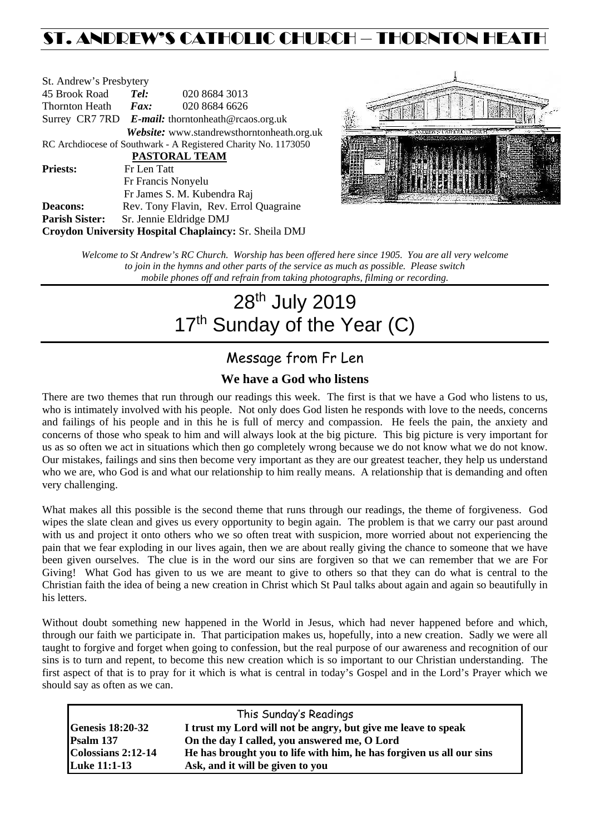# ST. ANDREW'S CATHOLIC CHURCH – THORNTON HEATH

| St. Andrew's Presbytery                                        |                                                      |                                            |  |  |
|----------------------------------------------------------------|------------------------------------------------------|--------------------------------------------|--|--|
| 45 Brook Road                                                  | Tel:                                                 | 020 8684 3013                              |  |  |
| Thornton Heath                                                 | $\boldsymbol{Fax:}$                                  | 020 8684 6626                              |  |  |
|                                                                | Surrey CR7 7RD $E$ -mail: thorntonheath@rcaos.org.uk |                                            |  |  |
|                                                                |                                                      | Website: www.standrewsthorntonheath.org.uk |  |  |
| RC Archdiocese of Southwark - A Registered Charity No. 1173050 |                                                      |                                            |  |  |
| <b>PASTORAL TEAM</b>                                           |                                                      |                                            |  |  |
| <b>Priests:</b>                                                | Fr Len Tatt                                          |                                            |  |  |
|                                                                |                                                      | Fr Francis Nonyelu                         |  |  |
|                                                                |                                                      | Fr James S. M. Kubendra Raj                |  |  |
| <b>Deacons:</b>                                                |                                                      | Rev. Tony Flavin, Rev. Errol Quagraine     |  |  |
| <b>Parish Sister:</b>                                          |                                                      | Sr. Jennie Eldridge DMJ                    |  |  |
| Croydon University Hospital Chaplaincy: Sr. Sheila DMJ         |                                                      |                                            |  |  |



*Welcome to St Andrew's RC Church. Worship has been offered here since 1905. You are all very welcome to join in the hymns and other parts of the service as much as possible. Please switch mobile phones off and refrain from taking photographs, filming or recording.*

# 28<sup>th</sup> July 2019 17<sup>th</sup> Sunday of the Year (C)

# Message from Fr Len

### **We have a God who listens**

There are two themes that run through our readings this week. The first is that we have a God who listens to us, who is intimately involved with his people. Not only does God listen he responds with love to the needs, concerns and failings of his people and in this he is full of mercy and compassion. He feels the pain, the anxiety and concerns of those who speak to him and will always look at the big picture. This big picture is very important for us as so often we act in situations which then go completely wrong because we do not know what we do not know. Our mistakes, failings and sins then become very important as they are our greatest teacher, they help us understand who we are, who God is and what our relationship to him really means. A relationship that is demanding and often very challenging.

What makes all this possible is the second theme that runs through our readings, the theme of forgiveness. God wipes the slate clean and gives us every opportunity to begin again. The problem is that we carry our past around with us and project it onto others who we so often treat with suspicion, more worried about not experiencing the pain that we fear exploding in our lives again, then we are about really giving the chance to someone that we have been given ourselves. The clue is in the word our sins are forgiven so that we can remember that we are For Giving! What God has given to us we are meant to give to others so that they can do what is central to the Christian faith the idea of being a new creation in Christ which St Paul talks about again and again so beautifully in his letters.

Without doubt something new happened in the World in Jesus, which had never happened before and which, through our faith we participate in. That participation makes us, hopefully, into a new creation. Sadly we were all taught to forgive and forget when going to confession, but the real purpose of our awareness and recognition of our sins is to turn and repent, to become this new creation which is so important to our Christian understanding. The first aspect of that is to pray for it which is what is central in today's Gospel and in the Lord's Prayer which we should say as often as we can.

| This Sunday's Readings    |                                                                      |  |  |
|---------------------------|----------------------------------------------------------------------|--|--|
| <b>Genesis 18:20-32</b>   | I trust my Lord will not be angry, but give me leave to speak        |  |  |
| Psalm 137                 | On the day I called, you answered me, O Lord                         |  |  |
| $\sim$ Colossians 2:12-14 | He has brought you to life with him, he has forgiven us all our sins |  |  |
| <b>Luke 11:1-13</b>       | Ask, and it will be given to you                                     |  |  |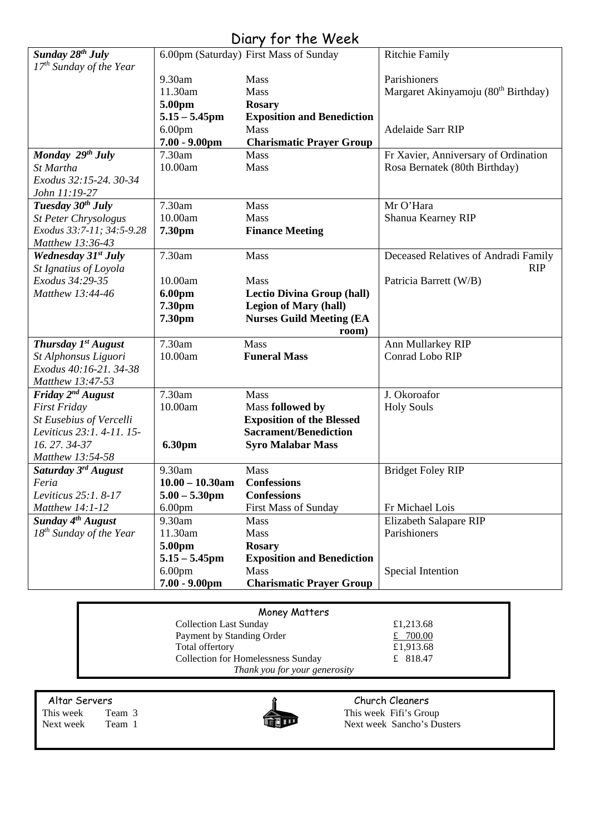# Diary for the Week

| Sunday 28 <sup>th</sup> July    |                    | 6.00pm (Saturday) First Mass of Sunday | <b>Ritchie Family</b>                           |
|---------------------------------|--------------------|----------------------------------------|-------------------------------------------------|
| $17th$ Sunday of the Year       |                    |                                        |                                                 |
|                                 | 9.30am             | Mass                                   | Parishioners                                    |
|                                 | 11.30am            | Mass                                   | Margaret Akinyamoju (80 <sup>th</sup> Birthday) |
|                                 | 5.00pm             | <b>Rosary</b>                          |                                                 |
|                                 | $5.15 - 5.45$ pm   | <b>Exposition and Benediction</b>      |                                                 |
|                                 | 6.00 <sub>pm</sub> | Mass                                   | Adelaide Sarr RIP                               |
|                                 | 7.00 - 9.00pm      | <b>Charismatic Prayer Group</b>        |                                                 |
| Monday 29th July                | 7.30am             | <b>Mass</b>                            | Fr Xavier, Anniversary of Ordination            |
| St Martha                       | 10.00am            | Mass                                   | Rosa Bernatek (80th Birthday)                   |
| Exodus 32:15-24. 30-34          |                    |                                        |                                                 |
| John 11:19-27                   |                    |                                        |                                                 |
| Tuesday $30^{th}$ July          | 7.30am             | Mass                                   | Mr O'Hara                                       |
| <b>St Peter Chrysologus</b>     | 10.00am            | Mass                                   | Shanua Kearney RIP                              |
| Exodus 33:7-11; 34:5-9.28       | 7.30pm             | <b>Finance Meeting</b>                 |                                                 |
| Matthew 13:36-43                |                    |                                        |                                                 |
| Wednesday 31st July             | 7.30am             | Mass                                   | Deceased Relatives of Andradi Family            |
| St Ignatius of Loyola           |                    |                                        | <b>RIP</b>                                      |
| Exodus 34:29-35                 | 10.00am            | Mass                                   | Patricia Barrett (W/B)                          |
| Matthew 13:44-46                | 6.00pm             | <b>Lectio Divina Group (hall)</b>      |                                                 |
|                                 | 7.30pm             | <b>Legion of Mary (hall)</b>           |                                                 |
|                                 | 7.30pm             | <b>Nurses Guild Meeting (EA</b>        |                                                 |
|                                 |                    | room)                                  |                                                 |
| Thursday $Ist$ August           | 7.30am             | Mass                                   | Ann Mullarkey RIP                               |
| St Alphonsus Liguori            | 10.00am            | <b>Funeral Mass</b>                    | Conrad Lobo RIP                                 |
| Exodus 40:16-21. 34-38          |                    |                                        |                                                 |
| Matthew 13:47-53                |                    |                                        |                                                 |
| Friday $2^{nd}$ August          | 7.30am             | Mass                                   | J. Okoroafor                                    |
| <b>First Friday</b>             | 10.00am            | Mass followed by                       | <b>Holy Souls</b>                               |
| St Eusebius of Vercelli         |                    | <b>Exposition of the Blessed</b>       |                                                 |
| Leviticus 23:1.4-11.15-         |                    | <b>Sacrament/Benediction</b>           |                                                 |
| 16.27.34-37                     | 6.30pm             | <b>Syro Malabar Mass</b>               |                                                 |
| Matthew 13:54-58                |                    |                                        |                                                 |
| Saturday 3 <sup>rd</sup> August | 9.30am             | Mass                                   | <b>Bridget Foley RIP</b>                        |
| Feria                           | $10.00 - 10.30$ am | <b>Confessions</b>                     |                                                 |
| Leviticus 25:1. 8-17            | $5.00 - 5.30$ pm   | <b>Confessions</b>                     |                                                 |
| Matthew 14:1-12                 | 6.00 <sub>pm</sub> | <b>First Mass of Sunday</b>            | Fr Michael Lois                                 |
| Sunday 4 <sup>th</sup> August   | 9.30am             | Mass                                   | Elizabeth Salapare RIP                          |
| $18^{th}$ Sunday of the Year    | 11.30am            | Mass                                   | Parishioners                                    |
|                                 | 5.00pm             | <b>Rosary</b>                          |                                                 |
|                                 | $5.15 - 5.45$ pm   | <b>Exposition and Benediction</b>      |                                                 |
|                                 | 6.00 <sub>pm</sub> | Mass                                   | Special Intention                               |
|                                 | $7.00 - 9.00$ pm   | <b>Charismatic Prayer Group</b>        |                                                 |

| Money Matters                      |           |  |  |  |
|------------------------------------|-----------|--|--|--|
| <b>Collection Last Sunday</b>      | £1,213.68 |  |  |  |
| Payment by Standing Order          | £ 700.00  |  |  |  |
| Total offertory                    | £1,913.68 |  |  |  |
| Collection for Homelessness Sunday | £ 818.47  |  |  |  |
| Thank you for your generosity      |           |  |  |  |



Altar Servers Church Cleaners<br>This week Team 3 This week Fifi's Group This week Team 3 This week Fifi's Group<br>Next week Team 1 This week Sancho's Du Next week Sancho's Dusters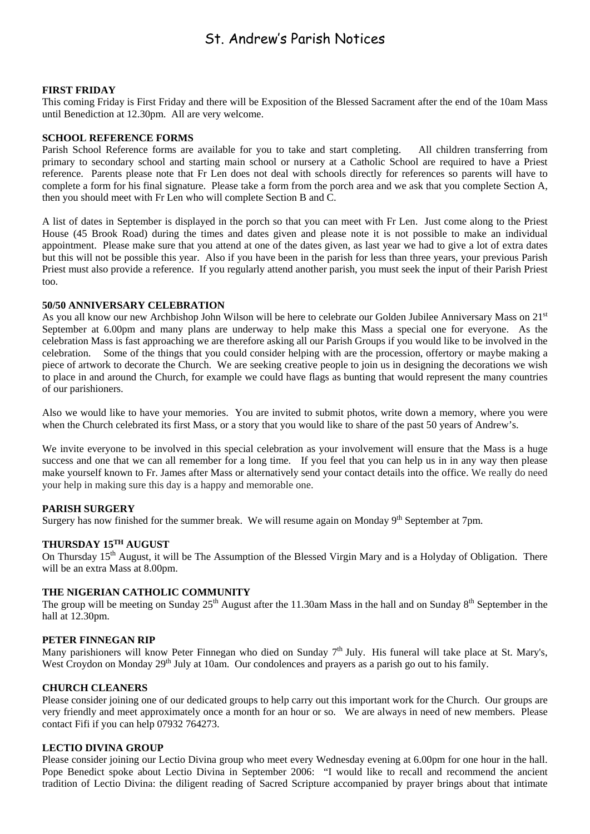### St. Andrew's Parish Notices

#### **FIRST FRIDAY**

This coming Friday is First Friday and there will be Exposition of the Blessed Sacrament after the end of the 10am Mass until Benediction at 12.30pm. All are very welcome.

#### **SCHOOL REFERENCE FORMS**

Parish School Reference forms are available for you to take and start completing. All children transferring from primary to secondary school and starting main school or nursery at a Catholic School are required to have a Priest reference. Parents please note that Fr Len does not deal with schools directly for references so parents will have to complete a form for his final signature. Please take a form from the porch area and we ask that you complete Section A, then you should meet with Fr Len who will complete Section B and C.

A list of dates in September is displayed in the porch so that you can meet with Fr Len. Just come along to the Priest House (45 Brook Road) during the times and dates given and please note it is not possible to make an individual appointment. Please make sure that you attend at one of the dates given, as last year we had to give a lot of extra dates but this will not be possible this year. Also if you have been in the parish for less than three years, your previous Parish Priest must also provide a reference. If you regularly attend another parish, you must seek the input of their Parish Priest too.

#### **50/50 ANNIVERSARY CELEBRATION**

As you all know our new Archbishop John Wilson will be here to celebrate our Golden Jubilee Anniversary Mass on 21<sup>st</sup> September at 6.00pm and many plans are underway to help make this Mass a special one for everyone. As the celebration Mass is fast approaching we are therefore asking all our Parish Groups if you would like to be involved in the celebration. Some of the things that you could consider helping with are the procession, offertory or maybe making a piece of artwork to decorate the Church. We are seeking creative people to join us in designing the decorations we wish to place in and around the Church, for example we could have flags as bunting that would represent the many countries of our parishioners.

Also we would like to have your memories. You are invited to submit photos, write down a memory, where you were when the Church celebrated its first Mass, or a story that you would like to share of the past 50 years of Andrew's.

We invite everyone to be involved in this special celebration as your involvement will ensure that the Mass is a huge success and one that we can all remember for a long time. If you feel that you can help us in in any way then please make yourself known to Fr. James after Mass or alternatively send your contact details into the office. We really do need your help in making sure this day is a happy and memorable one.

#### **PARISH SURGERY**

Surgery has now finished for the summer break. We will resume again on Monday 9<sup>th</sup> September at 7pm.

#### **THURSDAY 15TH AUGUST**

On Thursday 15<sup>th</sup> August, it will be The Assumption of the Blessed Virgin Mary and is a Holyday of Obligation. There will be an extra Mass at 8.00pm.

#### **THE NIGERIAN CATHOLIC COMMUNITY**

The group will be meeting on Sunday  $25<sup>th</sup>$  August after the 11.30am Mass in the hall and on Sunday  $8<sup>th</sup>$  September in the hall at 12.30pm.

#### **PETER FINNEGAN RIP**

Many parishioners will know Peter Finnegan who died on Sunday  $7<sup>th</sup>$  July. His funeral will take place at St. Mary's, West Croydon on Monday 29<sup>th</sup> July at 10am. Our condolences and prayers as a parish go out to his family.

#### **CHURCH CLEANERS**

Please consider joining one of our dedicated groups to help carry out this important work for the Church. Our groups are very friendly and meet approximately once a month for an hour or so. We are always in need of new members. Please contact Fifi if you can help 07932 764273.

#### **LECTIO DIVINA GROUP**

Please consider joining our Lectio Divina group who meet every Wednesday evening at 6.00pm for one hour in the hall. Pope Benedict spoke about Lectio Divina in September 2006: "I would like to recall and recommend the ancient tradition of Lectio Divina: the diligent reading of Sacred Scripture accompanied by prayer brings about that intimate